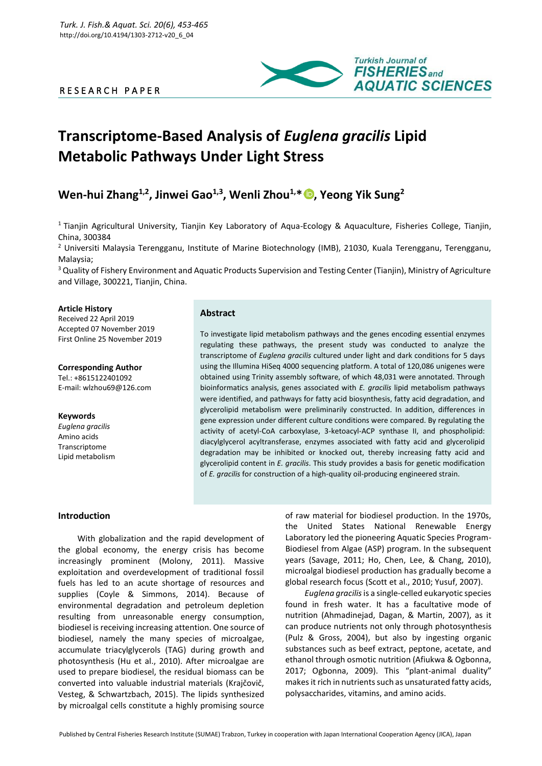# R E S E A R C H P A P E R



# **Transcriptome-Based Analysis of** *Euglena gracilis* **Lipid Metabolic Pathways Under Light Stress**

# **Wen-hui Zhang1,2, Jinwei Gao1,3 , Wenli Zhou1,\* [,](https://orcid.org/0000-0003-1266-8625) Yeong Yik Sung<sup>2</sup>**

<sup>1</sup> Tianjin Agricultural University, Tianjin Key Laboratory of Aqua-Ecology & Aquaculture, Fisheries College, Tianjin, China, 300384

<sup>2</sup> Universiti Malaysia Terengganu, Institute of Marine Biotechnology (IMB), 21030, Kuala Terengganu, Terengganu, Malaysia;

<sup>3</sup> Quality of Fishery Environment and Aquatic Products Supervision and Testing Center (Tianjin), Ministry of Agriculture and Village, 300221, Tianjin, China.

#### **Article History**

Received 22 April 2019 Accepted 07 November 2019 First Online 25 November 2019

**Corresponding Author** Tel.: +8615122401092 E-mail: wlzhou69@126.com

# **Keywords**

*Euglena gracilis* Amino acids Transcriptome Lipid metabolism

# **Abstract**

To investigate lipid metabolism pathways and the genes encoding essential enzymes regulating these pathways, the present study was conducted to analyze the transcriptome of *Euglena gracilis* cultured under light and dark conditions for 5 days using the Illumina HiSeq 4000 sequencing platform. A total of 120,086 unigenes were obtained using Trinity assembly software, of which 48,031 were annotated. Through bioinformatics analysis, genes associated with *E. gracilis* lipid metabolism pathways were identified, and pathways for fatty acid biosynthesis, fatty acid degradation, and glycerolipid metabolism were preliminarily constructed. In addition, differences in gene expression under different culture conditions were compared. By regulating the activity of acetyl-CoA carboxylase, 3-ketoacyl-ACP synthase II, and phospholipid: diacylglycerol acyltransferase, enzymes associated with fatty acid and glycerolipid degradation may be inhibited or knocked out, thereby increasing fatty acid and glycerolipid content in *E. gracilis*. This study provides a basis for genetic modification of *E. gracilis* for construction of a high-quality oil-producing engineered strain.

# **Introduction**

With globalization and the rapid development of the global economy, the energy crisis has become increasingly prominent (Molony, 2011). Massive exploitation and overdevelopment of traditional fossil fuels has led to an acute shortage of resources and supplies (Coyle & Simmons, 2014). Because of environmental degradation and petroleum depletion resulting from unreasonable energy consumption, biodiesel is receiving increasing attention. One source of biodiesel, namely the many species of microalgae, accumulate triacylglycerols (TAG) during growth and photosynthesis (Hu et al., 2010). After microalgae are used to prepare biodiesel, the residual biomass can be converted into valuable industrial materials (Krajčovič, Vesteg, & Schwartzbach, 2015). The lipids synthesized by microalgal cells constitute a highly promising source

of raw material for biodiesel production. In the 1970s, the United States National Renewable Energy Laboratory led the pioneering Aquatic Species Program-Biodiesel from Algae (ASP) program. In the subsequent years (Savage, 2011; Ho, Chen, Lee, & Chang, 2010), microalgal biodiesel production has gradually become a global research focus (Scott et al., 2010; Yusuf, 2007).

*Euglena gracilis*is a single-celled eukaryotic species found in fresh water. It has a facultative mode of nutrition (Ahmadinejad, Dagan, & Martin, 2007), as it can produce nutrients not only through photosynthesis (Pulz & Gross, 2004), but also by ingesting organic substances such as beef extract, peptone, acetate, and ethanol through osmotic nutrition (Afiukwa & Ogbonna, 2017; Ogbonna, 2009). This "plant-animal duality" makes it rich in nutrients such as unsaturated fatty acids, polysaccharides, vitamins, and amino acids.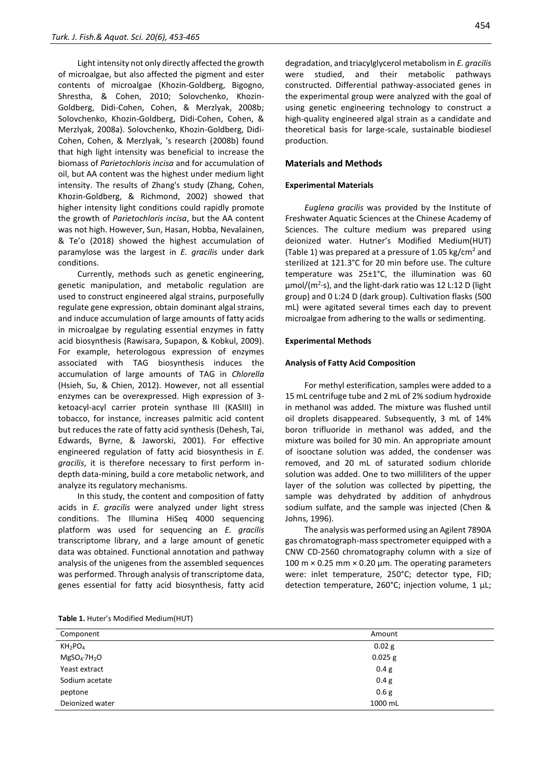Light intensity not only directly affected the growth of microalgae, but also affected the pigment and ester contents of microalgae (Khozin-Goldberg, Bigogno, Shrestha, & Cohen, 2010; Solovchenko, Khozin-Goldberg, Didi-Cohen, Cohen, & Merzlyak, 2008b; Solovchenko, Khozin-Goldberg, Didi-Cohen, Cohen, & Merzlyak, 2008a). Solovchenko, Khozin-Goldberg, Didi-Cohen, Cohen, & Merzlyak, 's research (2008b) found that high light intensity was beneficial to increase the biomass of *Parietochloris incisa* and for accumulation of oil, but AA content was the highest under medium light intensity. The results of Zhang's study (Zhang, Cohen, Khozin-Goldberg, & Richmond, 2002) showed that higher intensity light conditions could rapidly promote the growth of *Parietochloris incisa*, but the AA content was not high. However, Sun, Hasan, Hobba, Nevalainen, & Te'o (2018) showed the highest accumulation of paramylose was the largest in *E. gracilis* under dark conditions.

Currently, methods such as genetic engineering, genetic manipulation, and metabolic regulation are used to construct engineered algal strains, purposefully regulate gene expression, obtain dominant algal strains, and induce accumulation of large amounts of fatty acids in microalgae by regulating essential enzymes in fatty acid biosynthesis (Rawisara, Supapon, & Kobkul, 2009). For example, heterologous expression of enzymes associated with TAG biosynthesis induces the accumulation of large amounts of TAG in *Chlorella* (Hsieh, Su, & Chien, 2012). However, not all essential enzymes can be overexpressed. High expression of 3 ketoacyl-acyl carrier protein synthase III (KASIII) in tobacco, for instance, increases palmitic acid content but reduces the rate of fatty acid synthesis (Dehesh, Tai, Edwards, Byrne, & Jaworski, 2001). For effective engineered regulation of fatty acid biosynthesis in *E. gracilis*, it is therefore necessary to first perform indepth data-mining, build a core metabolic network, and analyze its regulatory mechanisms.

In this study, the content and composition of fatty acids in *E. gracilis* were analyzed under light stress conditions. The Illumina HiSeq 4000 sequencing platform was used for sequencing an *E. gracilis* transcriptome library, and a large amount of genetic data was obtained. Functional annotation and pathway analysis of the unigenes from the assembled sequences was performed. Through analysis of transcriptome data, genes essential for fatty acid biosynthesis, fatty acid

degradation, and triacylglycerol metabolism in *E. gracilis* were studied, and their metabolic pathways constructed. Differential pathway-associated genes in the experimental group were analyzed with the goal of using genetic engineering technology to construct a high-quality engineered algal strain as a candidate and theoretical basis for large-scale, sustainable biodiesel production.

## **Materials and Methods**

#### **Experimental Materials**

*Euglena gracilis* was provided by the Institute of Freshwater Aquatic Sciences at the Chinese Academy of Sciences. The culture medium was prepared using deionized water. Hutner's Modified Medium(HUT) (Table 1) was prepared at a pressure of 1.05 kg/cm<sup>2</sup> and sterilized at 121.3°C for 20 min before use. The culture temperature was 25±1°C, the illumination was 60 μmol/(m<sup>2</sup>·s), and the light-dark ratio was 12 L:12 D (light group) and 0 L:24 D (dark group). Cultivation flasks (500 mL) were agitated several times each day to prevent microalgae from adhering to the walls or sedimenting.

#### **Experimental Methods**

#### **Analysis of Fatty Acid Composition**

For methyl esterification, samples were added to a 15 mL centrifuge tube and 2 mL of 2% sodium hydroxide in methanol was added. The mixture was flushed until oil droplets disappeared. Subsequently, 3 mL of 14% boron trifluoride in methanol was added, and the mixture was boiled for 30 min. An appropriate amount of isooctane solution was added, the condenser was removed, and 20 mL of saturated sodium chloride solution was added. One to two milliliters of the upper layer of the solution was collected by pipetting, the sample was dehydrated by addition of anhydrous sodium sulfate, and the sample was injected (Chen & Johns, 1996).

The analysis was performed using an Agilent 7890A gas chromatograph-mass spectrometer equipped with a CNW CD-2560 chromatography column with a size of 100 m  $\times$  0.25 mm  $\times$  0.20 µm. The operating parameters were: inlet temperature, 250°C; detector type, FID; detection temperature, 260°C; injection volume, 1 μL;

|  |  | Table 1. Huter's Modified Medium(HUT) |  |  |
|--|--|---------------------------------------|--|--|
|--|--|---------------------------------------|--|--|

| Component                       | Amount           |
|---------------------------------|------------------|
| KH <sub>2</sub> PO <sub>4</sub> | 0.02 g           |
| $MgSO_4$ :7H <sub>2</sub> O     | $0.025$ g        |
| Yeast extract                   | 0.4 <sub>g</sub> |
| Sodium acetate                  | 0.4 <sub>g</sub> |
| peptone                         | 0.6 g            |
| Deionized water                 | 1000 mL          |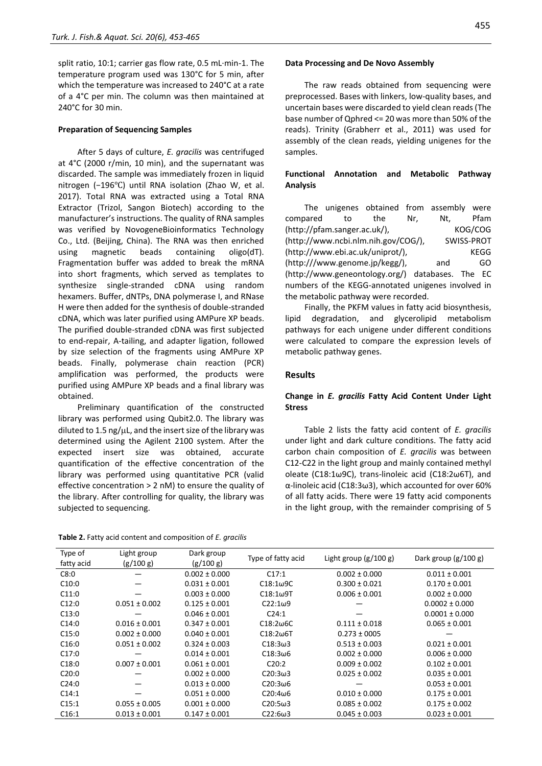split ratio, 10:1; carrier gas flow rate, 0.5 mL·min-1. The temperature program used was 130°C for 5 min, after which the temperature was increased to 240°C at a rate of a 4°C per min. The column was then maintained at 240°C for 30 min.

#### **Preparation of Sequencing Samples**

After 5 days of culture, *E. gracilis* was centrifuged at 4°C (2000 r/min, 10 min), and the supernatant was discarded. The sample was immediately frozen in liquid nitrogen (−196℃) until RNA isolation (Zhao W, et al. 2017). Total RNA was extracted using a Total RNA Extractor (Trizol, Sangon Biotech) according to the manufacturer's instructions. The quality of RNA samples was verified by NovogeneBioinformatics Technology Co., Ltd. (Beijing, China). The RNA was then enriched using magnetic beads containing oligo(dT). Fragmentation buffer was added to break the mRNA into short fragments, which served as templates to synthesize single-stranded cDNA using random hexamers. Buffer, dNTPs, DNA polymerase I, and RNase H were then added for the synthesis of double-stranded cDNA, which was later purified using AMPure XP beads. The purified double-stranded cDNA was first subjected to end-repair, A-tailing, and adapter ligation, followed by size selection of the fragments using AMPure XP beads. Finally, polymerase chain reaction (PCR) amplification was performed, the products were purified using AMPure XP beads and a final library was obtained.

Preliminary quantification of the constructed library was performed using Qubit2.0. The library was diluted to 1.5 ng/ $\mu$ L, and the insert size of the library was determined using the Agilent 2100 system. After the expected insert size was obtained, accurate quantification of the effective concentration of the library was performed using quantitative PCR (valid effective concentration > 2 nM) to ensure the quality of the library. After controlling for quality, the library was subjected to sequencing.

**Table 2.** Fatty acid content and composition of *E. gracilis*

# **Data Processing and De Novo Assembly**

The raw reads obtained from sequencing were preprocessed. Bases with linkers, low-quality bases, and uncertain bases were discarded to yield clean reads (The base number of Qphred <= 20 was more than 50% of the reads). Trinity (Grabherr et al., 2011) was used for assembly of the clean reads, yielding unigenes for the samples.

# **Functional Annotation and Metabolic Pathway Analysis**

|          |                              | The unigenes obtained from assembly were           |     |     |             |
|----------|------------------------------|----------------------------------------------------|-----|-----|-------------|
| compared | to                           | the                                                | Nr. | Nt. | Pfam        |
|          | (http://pfam.sanger.ac.uk/), |                                                    |     |     | KOG/COG     |
|          |                              | (http://www.ncbi.nlm.nih.gov/COG/),                |     |     | SWISS-PROT  |
|          |                              | (http://www.ebi.ac.uk/uniprot/),                   |     |     | <b>KEGG</b> |
|          |                              | (http:///www.genome.jp/kegg/),                     |     | and | GO          |
|          |                              | (http://www.geneontology.org/) databases. The EC   |     |     |             |
|          |                              | numbers of the KEGG-annotated unigenes involved in |     |     |             |
|          |                              | the metabolic pathway were recorded.               |     |     |             |

Finally, the PKFM values in fatty acid biosynthesis, lipid degradation, and glycerolipid metabolism pathways for each unigene under different conditions were calculated to compare the expression levels of metabolic pathway genes.

#### **Results**

## **Change in** *E. gracilis* **Fatty Acid Content Under Light Stress**

Table 2 lists the fatty acid content of *E. gracilis* under light and dark culture conditions. The fatty acid carbon chain composition of *E. gracilis* was between C12-C22 in the light group and mainly contained methyl oleate (C18:1ω9C), trans-linoleic acid (C18:2ω6T), and α-linoleic acid (C18:3ω3), which accounted for over 60% of all fatty acids. There were 19 fatty acid components in the light group, with the remainder comprising of 5

| Type of<br>fatty acid | Light group<br>(g/100 g) | Dark group<br>(g/100 g) | Type of fatty acid             | Light group $(g/100 g)$ | Dark group $(g/100 g)$ |
|-----------------------|--------------------------|-------------------------|--------------------------------|-------------------------|------------------------|
| C8:0                  |                          | $0.002 \pm 0.000$       | C17:1                          | $0.002 \pm 0.000$       | $0.011 \pm 0.001$      |
| C10:0                 |                          | $0.031 \pm 0.001$       | $C18:1\omega$ 9C               | $0.300 \pm 0.021$       | $0.170 \pm 0.001$      |
| C11:0                 |                          | $0.003 \pm 0.000$       | $C18:1\omega9T$                | $0.006 \pm 0.001$       | $0.002 \pm 0.000$      |
| C12:0                 | $0.051 \pm 0.002$        | $0.125 \pm 0.001$       | $C22:1\omega9$                 |                         | $0.0002 \pm 0.000$     |
| C13:0                 |                          | $0.046 \pm 0.001$       | C24:1                          |                         | $0.0001 \pm 0.000$     |
| C14:0                 | $0.016 \pm 0.001$        | $0.347 \pm 0.001$       | $C18:2\omega$ <sub>6</sub> $C$ | $0.111 \pm 0.018$       | $0.065 \pm 0.001$      |
| C15:0                 | $0.002 \pm 0.000$        | $0.040 \pm 0.001$       | $C18:2\omega$ 6T               | $0.273 \pm 0005$        |                        |
| C16:0                 | $0.051 \pm 0.002$        | $0.324 \pm 0.003$       | $C18:3\omega3$                 | $0.513 \pm 0.003$       | $0.021 \pm 0.001$      |
| C17:0                 |                          | $0.014 \pm 0.001$       | $C18:3\omega$ 6                | $0.002 \pm 0.000$       | $0.006 \pm 0.000$      |
| C18:0                 | $0.007 \pm 0.001$        | $0.061 \pm 0.001$       | C20:2                          | $0.009 \pm 0.002$       | $0.102 \pm 0.001$      |
| C20:0                 |                          | $0.002 \pm 0.000$       | $C20:3\omega3$                 | $0.025 \pm 0.002$       | $0.035 \pm 0.001$      |
| C24:0                 |                          | $0.013 \pm 0.000$       | $C20:3\omega$ 6                |                         | $0.053 \pm 0.001$      |
| C14:1                 |                          | $0.051 \pm 0.000$       | $C20:4\omega$ 6                | $0.010 \pm 0.000$       | $0.175 \pm 0.001$      |
| C15:1                 | $0.055 \pm 0.005$        | $0.001 \pm 0.000$       | $C20:5\omega3$                 | $0.085 \pm 0.002$       | $0.175 \pm 0.002$      |
| C16:1                 | $0.013 \pm 0.001$        | $0.147 \pm 0.001$       | $C22:6\omega3$                 | $0.045 \pm 0.003$       | $0.023 \pm 0.001$      |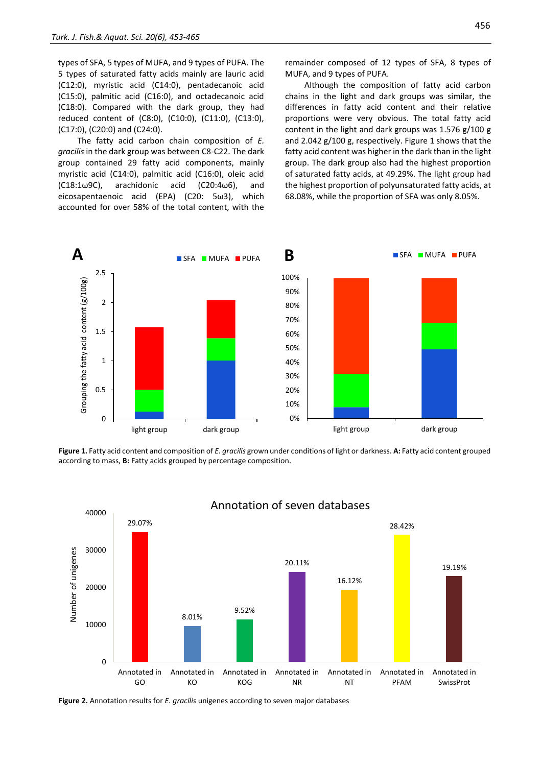types of SFA, 5 types of MUFA, and 9 types of PUFA. The 5 types of saturated fatty acids mainly are lauric acid (C12:0), myristic acid (C14:0), pentadecanoic acid (C15:0), palmitic acid (C16:0), and octadecanoic acid (C18:0). Compared with the dark group, they had reduced content of (C8:0), (C10:0), (C11:0), (C13:0), (C17:0), (C20:0) and (C24:0).

The fatty acid carbon chain composition of *E. gracilis* in the dark group was between C8-C22. The dark group contained 29 fatty acid components, mainly myristic acid (C14:0), palmitic acid (C16:0), oleic acid (C18:1ω9C), arachidonic acid (C20:4ω6), and eicosapentaenoic acid (EPA) (C20: 5ω3), which accounted for over 58% of the total content, with the remainder composed of 12 types of SFA, 8 types of MUFA, and 9 types of PUFA.

Although the composition of fatty acid carbon chains in the light and dark groups was similar, the differences in fatty acid content and their relative proportions were very obvious. The total fatty acid content in the light and dark groups was 1.576 g/100 g and 2.042 g/100 g, respectively. Figure 1 shows that the fatty acid content was higher in the dark than in the light group. The dark group also had the highest proportion of saturated fatty acids, at 49.29%. The light group had the highest proportion of polyunsaturated fatty acids, at 68.08%, while the proportion of SFA was only 8.05%.



**Figure 1.** Fatty acid content and composition of *E. gracilis* grown under conditions of light or darkness. **A:** Fatty acid content grouped according to mass, **B:** Fatty acids grouped by percentage composition.



# Annotation of seven databases

**Figure 2.** Annotation results for *E. gracilis* unigenes according to seven major databases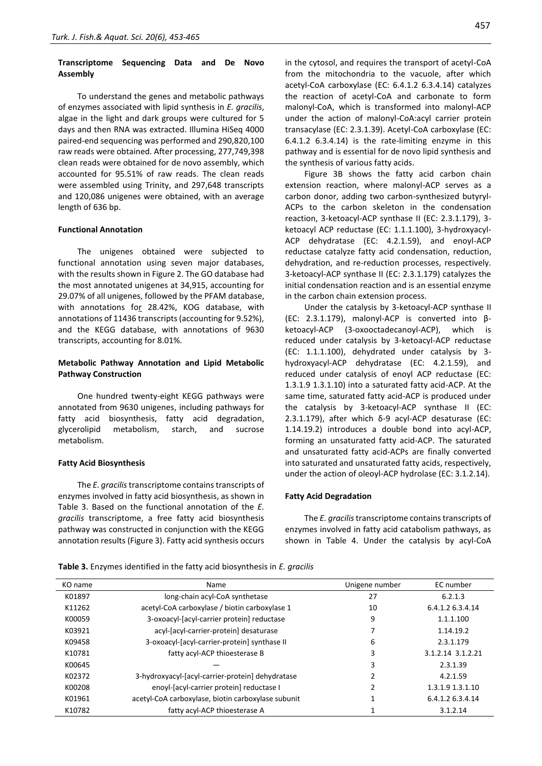# **Transcriptome Sequencing Data and De Novo Assembly**

To understand the genes and metabolic pathways of enzymes associated with lipid synthesis in *E. gracilis*, algae in the light and dark groups were cultured for 5 days and then RNA was extracted. Illumina HiSeq 4000 paired-end sequencing was performed and 290,820,100 raw reads were obtained. After processing, 277,749,398 clean reads were obtained for de novo assembly, which accounted for 95.51% of raw reads. The clean reads were assembled using Trinity, and 297,648 transcripts and 120,086 unigenes were obtained, with an average length of 636 bp.

#### **Functional Annotation**

The unigenes obtained were subjected to functional annotation using seven major databases, with the results shown in Figure 2. The GO database had the most annotated unigenes at 34,915, accounting for 29.07% of all unigenes, followed by the PFAM database, with annotations for 28.42%, KOG database, with annotations of 11436 transcripts (accounting for 9.52%), and the KEGG database, with annotations of 9630 transcripts, accounting for 8.01%.

# **Metabolic Pathway Annotation and Lipid Metabolic Pathway Construction**

One hundred twenty-eight KEGG pathways were annotated from 9630 unigenes, including pathways for fatty acid biosynthesis, fatty acid degradation, glycerolipid metabolism, starch, and sucrose metabolism.

#### **Fatty Acid Biosynthesis**

The *E. gracilis*transcriptome contains transcripts of enzymes involved in fatty acid biosynthesis, as shown in Table 3. Based on the functional annotation of the *E. gracilis* transcriptome, a free fatty acid biosynthesis pathway was constructed in conjunction with the KEGG annotation results (Figure 3). Fatty acid synthesis occurs in the cytosol, and requires the transport of acetyl-CoA from the mitochondria to the vacuole, after which acetyl-CoA carboxylase (EC: 6.4.1.2 6.3.4.14) catalyzes the reaction of acetyl-CoA and carbonate to form malonyl-CoA, which is transformed into malonyl-ACP under the action of malonyl-CoA:acyl carrier protein transacylase (EC: 2.3.1.39). Acetyl-CoA carboxylase (EC: 6.4.1.2 6.3.4.14) is the rate-limiting enzyme in this pathway and is essential for de novo lipid synthesis and the synthesis of various fatty acids.

Figure 3B shows the fatty acid carbon chain extension reaction, where malonyl-ACP serves as a carbon donor, adding two carbon-synthesized butyryl-ACPs to the carbon skeleton in the condensation reaction, 3-ketoacyl-ACP synthase II (EC: 2.3.1.179), 3 ketoacyl ACP reductase (EC: 1.1.1.100), 3-hydroxyacyl-ACP dehydratase (EC: 4.2.1.59), and enoyl-ACP reductase catalyze fatty acid condensation, reduction, dehydration, and re-reduction processes, respectively. 3-ketoacyl-ACP synthase II (EC: 2.3.1.179) catalyzes the initial condensation reaction and is an essential enzyme in the carbon chain extension process.

Under the catalysis by 3-ketoacyl-ACP synthase II (EC: 2.3.1.179), malonyl-ACP is converted into βketoacyl-ACP (3-oxooctadecanoyl-ACP), which is reduced under catalysis by 3-ketoacyl-ACP reductase (EC: 1.1.1.100), dehydrated under catalysis by 3 hydroxyacyl-ACP dehydratase (EC: 4.2.1.59), and reduced under catalysis of enoyl ACP reductase (EC: 1.3.1.9 1.3.1.10) into a saturated fatty acid-ACP. At the same time, saturated fatty acid-ACP is produced under the catalysis by 3-ketoacyl-ACP synthase II (EC: 2.3.1.179), after which δ-9 acyl-ACP desaturase (EC: 1.14.19.2) introduces a double bond into acyl-ACP, forming an unsaturated fatty acid-ACP. The saturated and unsaturated fatty acid-ACPs are finally converted into saturated and unsaturated fatty acids, respectively, under the action of oleoyl-ACP hydrolase (EC: 3.1.2.14).

#### **Fatty Acid Degradation**

The *E. gracilis* transcriptome contains transcripts of enzymes involved in fatty acid catabolism pathways, as shown in Table 4. Under the catalysis by acyl-CoA

**Table 3.** Enzymes identified in the fatty acid biosynthesis in *E. gracilis*

| KO name | Name                                               | Unigene number | EC number         |
|---------|----------------------------------------------------|----------------|-------------------|
| K01897  | long-chain acyl-CoA synthetase                     | 27             | 6.2.1.3           |
| K11262  | acetyl-CoA carboxylase / biotin carboxylase 1      | 10             | 6.4.1.2 6.3.4.14  |
| K00059  | 3-oxoacyl-[acyl-carrier protein] reductase         | 9              | 1.1.1.100         |
| K03921  | acyl-[acyl-carrier-protein] desaturase             |                | 1.14.19.2         |
| K09458  | 3-oxoacyl-[acyl-carrier-protein] synthase II       | 6              | 2.3.1.179         |
| K10781  | fatty acyl-ACP thioesterase B                      | 3              | 3.1.2.14 3.1.2.21 |
| K00645  |                                                    | 3              | 2.3.1.39          |
| K02372  | 3-hydroxyacyl-[acyl-carrier-protein] dehydratase   | 2              | 4.2.1.59          |
| K00208  | enoyl-[acyl-carrier protein] reductase I           | 2              | 1.3.1.9 1.3.1.10  |
| K01961  | acetyl-CoA carboxylase, biotin carboxylase subunit |                | 6.4.1.2 6.3.4.14  |
| K10782  | fatty acyl-ACP thioesterase A                      |                | 3.1.2.14          |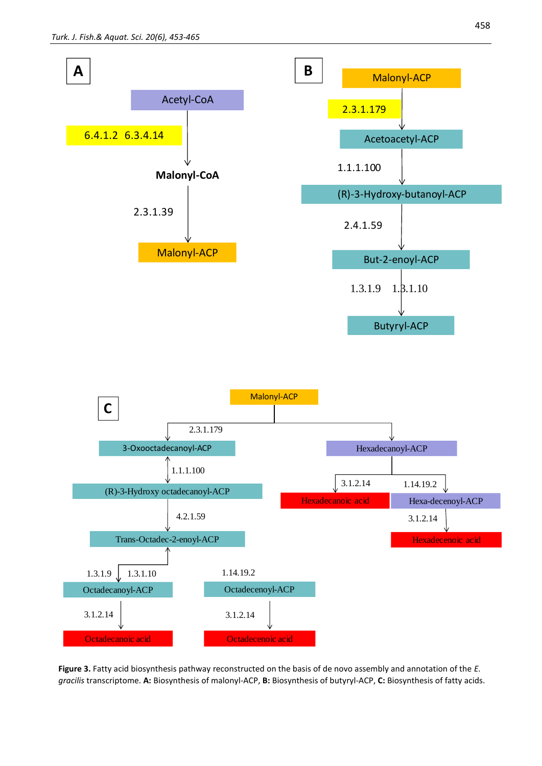

**Figure 3.** Fatty acid biosynthesis pathway reconstructed on the basis of de novo assembly and annotation of the *E. gracilis* transcriptome. **A:** Biosynthesis of malonyl-ACP, **B:** Biosynthesis of butyryl-ACP, **C:** Biosynthesis of fatty acids.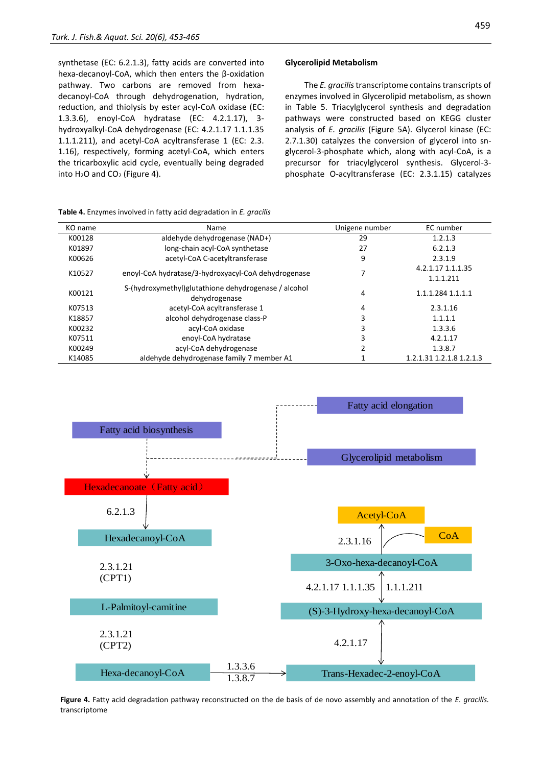synthetase (EC: 6.2.1.3), fatty acids are converted into hexa-decanoyl-CoA, which then enters the β-oxidation pathway. Two carbons are removed from hexadecanoyl-CoA through dehydrogenation, hydration, reduction, and thiolysis by ester acyl-CoA oxidase (EC: 1.3.3.6), enoyl-CoA hydratase (EC: 4.2.1.17), 3 hydroxyalkyl-CoA dehydrogenase (EC: 4.2.1.17 1.1.1.35 1.1.1.211), and acetyl-CoA acyltransferase 1 (EC: 2.3. 1.16), respectively, forming acetyl-CoA, which enters the tricarboxylic acid cycle, eventually being degraded into H<sub>2</sub>O and CO<sub>2</sub> (Figure 4).

#### **Glycerolipid Metabolism**

The *E. gracilis*transcriptome contains transcripts of enzymes involved in Glycerolipid metabolism, as shown in Table 5. Triacylglycerol synthesis and degradation pathways were constructed based on KEGG cluster analysis of *E. gracilis* (Figure 5A). Glycerol kinase (EC: 2.7.1.30) catalyzes the conversion of glycerol into snglycerol-3-phosphate which, along with acyl-CoA, is a precursor for triacylglycerol synthesis. Glycerol-3 phosphate O-acyltransferase (EC: 2.3.1.15) catalyzes

| KO name | Name                                                                  | Unigene number | EC number                      |
|---------|-----------------------------------------------------------------------|----------------|--------------------------------|
| K00128  | aldehyde dehydrogenase (NAD+)                                         | 29             | 1.2.1.3                        |
| K01897  | long-chain acyl-CoA synthetase                                        | 27             | 6.2.1.3                        |
| K00626  | acetyl-CoA C-acetyltransferase                                        | 9              | 2.3.1.9                        |
| K10527  | enoyl-CoA hydratase/3-hydroxyacyl-CoA dehydrogenase                   | 7              | 4.2.1.17 1.1.1.35<br>1.1.1.211 |
| K00121  | S-(hydroxymethyl)glutathione dehydrogenase / alcohol<br>dehydrogenase | 4              | 1.1.1.284 1.1.1.1              |
| K07513  | acetyl-CoA acyltransferase 1                                          | 4              | 2.3.1.16                       |
| K18857  | alcohol dehydrogenase class-P                                         | 3              | 1.1.1.1                        |
| K00232  | acyl-CoA oxidase                                                      | 3              | 1.3.3.6                        |
| K07511  | enoyl-CoA hydratase                                                   | 3              | 4.2.1.17                       |
| K00249  | acyl-CoA dehydrogenase                                                |                | 1.3.8.7                        |
| K14085  | aldehyde dehydrogenase family 7 member A1                             |                | 1.2.1.31 1.2.1.8 1.2.1.3       |



**Figure 4.** Fatty acid degradation pathway reconstructed on the de basis of de novo assembly and annotation of the *E. gracilis.*

# **Table 4.** Enzymes involved in fatty acid degradation in *E. gracilis*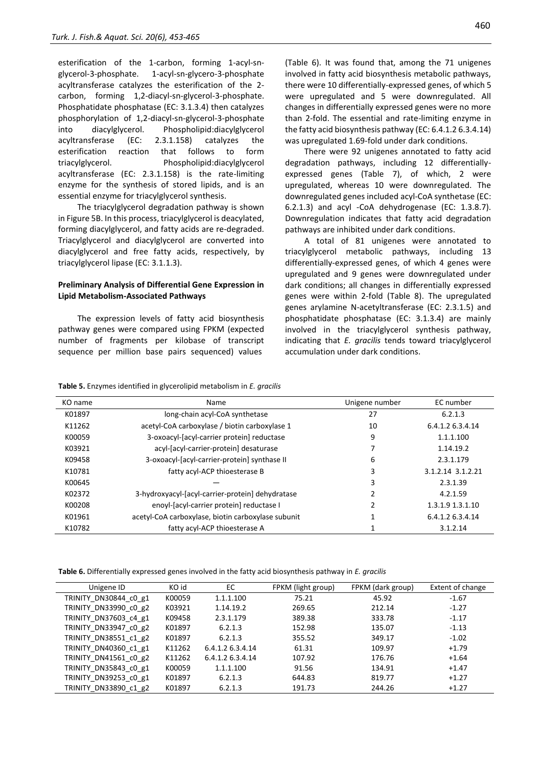esterification of the 1-carbon, forming 1-acyl-snglycerol-3-phosphate. 1-acyl-sn-glycero-3-phosphate acyltransferase catalyzes the esterification of the 2 carbon, forming 1,2-diacyl-sn-glycerol-3-phosphate. Phosphatidate phosphatase (EC: 3.1.3.4) then catalyzes phosphorylation of 1,2-diacyl-sn-glycerol-3-phosphate into diacylglycerol. Phospholipid:diacylglycerol acyltransferase (EC: 2.3.1.158) catalyzes the esterification reaction that follows to form triacylglycerol. Phospholipid:diacylglycerol acyltransferase (EC: 2.3.1.158) is the rate-limiting enzyme for the synthesis of stored lipids, and is an essential enzyme for triacylglycerol synthesis.

The triacylglycerol degradation pathway is shown in Figure 5B. In this process, triacylglycerol is deacylated, forming diacylglycerol, and fatty acids are re-degraded. Triacylglycerol and diacylglycerol are converted into diacylglycerol and free fatty acids, respectively, by triacylglycerol lipase (EC: 3.1.1.3).

# **Preliminary Analysis of Differential Gene Expression in Lipid Metabolism-Associated Pathways**

The expression levels of fatty acid biosynthesis pathway genes were compared using FPKM (expected number of fragments per kilobase of transcript sequence per million base pairs sequenced) values

(Table 6). It was found that, among the 71 unigenes involved in fatty acid biosynthesis metabolic pathways, there were 10 differentially-expressed genes, of which 5 were upregulated and 5 were downregulated. All changes in differentially expressed genes were no more than 2-fold. The essential and rate-limiting enzyme in the fatty acid biosynthesis pathway (EC: 6.4.1.2 6.3.4.14) was upregulated 1.69-fold under dark conditions.

There were 92 unigenes annotated to fatty acid degradation pathways, including 12 differentiallyexpressed genes (Table 7), of which, 2 were upregulated, whereas 10 were downregulated. The downregulated genes included acyl-CoA synthetase (EC: 6.2.1.3) and acyl -CoA dehydrogenase (EC: 1.3.8.7). Downregulation indicates that fatty acid degradation pathways are inhibited under dark conditions.

A total of 81 unigenes were annotated to triacylglycerol metabolic pathways, including 13 differentially-expressed genes, of which 4 genes were upregulated and 9 genes were downregulated under dark conditions; all changes in differentially expressed genes were within 2-fold (Table 8). The upregulated genes arylamine N-acetyltransferase (EC: 2.3.1.5) and phosphatidate phosphatase (EC: 3.1.3.4) are mainly involved in the triacylglycerol synthesis pathway, indicating that *E. gracilis* tends toward triacylglycerol accumulation under dark conditions.

|  |  |  |  |  | Table 5. Enzymes identified in glycerolipid metabolism in E. gracilis |  |  |
|--|--|--|--|--|-----------------------------------------------------------------------|--|--|
|--|--|--|--|--|-----------------------------------------------------------------------|--|--|

| KO name | Name                                               | Unigene number | EC number         |
|---------|----------------------------------------------------|----------------|-------------------|
| K01897  | long-chain acyl-CoA synthetase                     | 27             | 6.2.1.3           |
| K11262  | acetyl-CoA carboxylase / biotin carboxylase 1      | 10             | 6.4.1.2 6.3.4.14  |
| K00059  | 3-oxoacyl-[acyl-carrier protein] reductase         | 9              | 1.1.1.100         |
| K03921  | acyl-[acyl-carrier-protein] desaturase             |                | 1.14.19.2         |
| K09458  | 3-oxoacyl-[acyl-carrier-protein] synthase II       | 6              | 2.3.1.179         |
| K10781  | fatty acyl-ACP thioesterase B                      | 3              | 3.1.2.14 3.1.2.21 |
| K00645  |                                                    | 3              | 2.3.1.39          |
| K02372  | 3-hydroxyacyl-[acyl-carrier-protein] dehydratase   | 2              | 4.2.1.59          |
| K00208  | enoyl-[acyl-carrier protein] reductase I           | 2              | 1.3.1.9 1.3.1.10  |
| K01961  | acetyl-CoA carboxylase, biotin carboxylase subunit |                | 6.4.1.2 6.3.4.14  |
| K10782  | fatty acyl-ACP thioesterase A                      |                | 3.1.2.14          |

**Table 6.** Differentially expressed genes involved in the fatty acid biosynthesis pathway in *E. gracilis*

| Unigene ID            | KO id  | EC.              | FPKM (light group) | FPKM (dark group) | Extent of change |
|-----------------------|--------|------------------|--------------------|-------------------|------------------|
| TRINITY DN30844 c0 g1 | K00059 | 1.1.1.100        | 75.21              | 45.92             | $-1.67$          |
| TRINITY DN33990 c0 g2 | K03921 | 1.14.19.2        | 269.65             | 212.14            | $-1.27$          |
| TRINITY DN37603 c4 g1 | K09458 | 2.3.1.179        | 389.38             | 333.78            | $-1.17$          |
| TRINITY DN33947 c0 g2 | K01897 | 6.2.1.3          | 152.98             | 135.07            | $-1.13$          |
| TRINITY DN38551 c1 g2 | K01897 | 6.2.1.3          | 355.52             | 349.17            | $-1.02$          |
| TRINITY DN40360 c1 g1 | K11262 | 6.4.1.2 6.3.4.14 | 61.31              | 109.97            | $+1.79$          |
| TRINITY DN41561 c0 g2 | K11262 | 6.4.1.2 6.3.4.14 | 107.92             | 176.76            | $+1.64$          |
| TRINITY DN35843 c0 g1 | K00059 | 1.1.1.100        | 91.56              | 134.91            | $+1.47$          |
| TRINITY DN39253 c0 g1 | K01897 | 6.2.1.3          | 644.83             | 819.77            | $+1.27$          |
| TRINITY DN33890 c1 g2 | K01897 | 6.2.1.3          | 191.73             | 244.26            | $+1.27$          |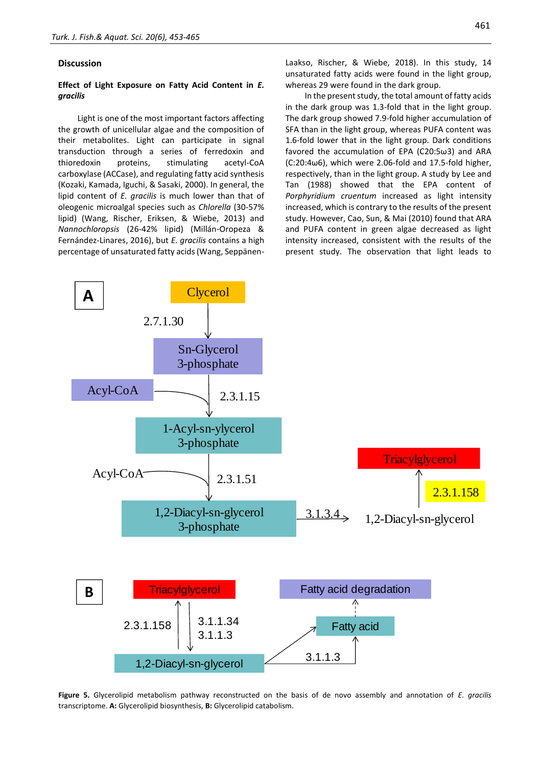#### **Discussion**

# **Effect of Light Exposure on Fatty Acid Content in** *E. gracilis*

Light is one of the most important factors affecting the growth of unicellular algae and the composition of their metabolites. Light can participate in signal transduction through a series of ferredoxin and thioredoxin proteins, stimulating acetyl-CoA carboxylase (ACCase), and regulating fatty acid synthesis (Kozaki, Kamada, Iguchi, & Sasaki, 2000). In general, the lipid content of *E. gracilis* is much lower than that of oleogenic microalgal species such as *Chlorella* (30-57% lipid) (Wang, Rischer, Eriksen, & Wiebe, 2013) and *Nannochloropsis* (26-42% lipid) (Millán-Oropeza & Fernández-Linares, 2016), but *E. gracilis* contains a high percentage of unsaturated fatty acids (Wang, Seppänen-

Laakso, Rischer, & Wiebe, 2018). In this study, 14 unsaturated fatty acids were found in the light group, whereas 29 were found in the dark group.

In the present study, the total amount of fatty acids in the dark group was 1.3-fold that in the light group. The dark group showed 7.9-fold higher accumulation of SFA than in the light group, whereas PUFA content was 1.6-fold lower that in the light group. Dark conditions favored the accumulation of EPA (C20:5ω3) and ARA (C:20:4ω6), which were 2.06-fold and 17.5-fold higher, respectively, than in the light group. A study by Lee and Tan (1988) showed that the EPA content of *Porphyridium cruentum* increased as light intensity increased, which is contrary to the results of the present study. However, Cao, Sun, & Mai (2010) found that ARA and PUFA content in green algae decreased as light intensity increased, consistent with the results of the present study. The observation that light leads to



**Figure 5.** Glycerolipid metabolism pathway reconstructed on the basis of de novo assembly and annotation of *E. gracilis*  transcriptome. **A:** Glycerolipid biosynthesis, **B:** Glycerolipid catabolism.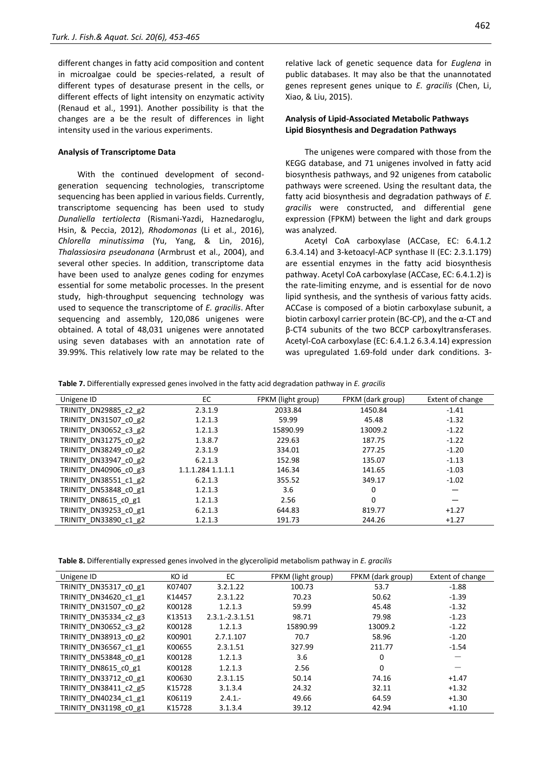different changes in fatty acid composition and content in microalgae could be species-related, a result of different types of desaturase present in the cells, or different effects of light intensity on enzymatic activity (Renaud et al., 1991). Another possibility is that the changes are a be the result of differences in light intensity used in the various experiments.

#### **Analysis of Transcriptome Data**

With the continued development of secondgeneration sequencing technologies, transcriptome sequencing has been applied in various fields. Currently, transcriptome sequencing has been used to study *Dunaliella tertiolecta* (Rismani-Yazdi, Haznedaroglu, Hsin, & Peccia, 2012), *Rhodomonas* (Li et al., 2016), *Chlorella minutissima* (Yu, Yang, & Lin, 2016), *Thalassiosira pseudonana* (Armbrust et al., 2004), and several other species. In addition, transcriptome data have been used to analyze genes coding for enzymes essential for some metabolic processes. In the present study, high-throughput sequencing technology was used to sequence the transcriptome of *E. gracilis*. After sequencing and assembly, 120,086 unigenes were obtained. A total of 48,031 unigenes were annotated using seven databases with an annotation rate of 39.99%. This relatively low rate may be related to the 462

relative lack of genetic sequence data for *Euglena* in public databases. It may also be that the unannotated genes represent genes unique to *E. gracilis* (Chen, Li, Xiao, & Liu, 2015).

#### **Analysis of Lipid-Associated Metabolic Pathways Lipid Biosynthesis and Degradation Pathways**

The unigenes were compared with those from the KEGG database, and 71 unigenes involved in fatty acid biosynthesis pathways, and 92 unigenes from catabolic pathways were screened. Using the resultant data, the fatty acid biosynthesis and degradation pathways of *E. gracilis* were constructed, and differential gene expression (FPKM) between the light and dark groups was analyzed.

Acetyl CoA carboxylase (ACCase, EC: 6.4.1.2 6.3.4.14) and 3-ketoacyl-ACP synthase II (EC: 2.3.1.179) are essential enzymes in the fatty acid biosynthesis pathway. Acetyl CoA carboxylase (ACCase, EC: 6.4.1.2) is the rate-limiting enzyme, and is essential for de novo lipid synthesis, and the synthesis of various fatty acids. ACCase is composed of a biotin carboxylase subunit, a biotin carboxyl carrier protein (BC-CP), and the α-CT and β-CT4 subunits of the two BCCP carboxyltransferases. Acetyl-CoA carboxylase (EC: 6.4.1.2 6.3.4.14) expression was upregulated 1.69-fold under dark conditions. 3-

**Table 7.** Differentially expressed genes involved in the fatty acid degradation pathway in *E. gracilis*

| Unigene ID            | EC                | FPKM (light group) | FPKM (dark group) | Extent of change |
|-----------------------|-------------------|--------------------|-------------------|------------------|
|                       |                   |                    |                   |                  |
| TRINITY DN29885 c2 g2 | 2.3.1.9           | 2033.84            | 1450.84           | $-1.41$          |
| TRINITY DN31507 c0 g2 | 1.2.1.3           | 59.99              | 45.48             | $-1.32$          |
| TRINITY DN30652 c3 g2 | 1.2.1.3           | 15890.99           | 13009.2           | $-1.22$          |
| TRINITY DN31275 c0 g2 | 1.3.8.7           | 229.63             | 187.75            | $-1.22$          |
| TRINITY DN38249 c0 g2 | 2.3.1.9           | 334.01             | 277.25            | $-1.20$          |
| TRINITY DN33947 c0 g2 | 6.2.1.3           | 152.98             | 135.07            | $-1.13$          |
| TRINITY DN40906 c0 g3 | 1.1.1.284 1.1.1.1 | 146.34             | 141.65            | $-1.03$          |
| TRINITY DN38551 c1 g2 | 6.2.1.3           | 355.52             | 349.17            | $-1.02$          |
| TRINITY DN53848 c0 g1 | 1.2.1.3           | 3.6                | 0                 |                  |
| TRINITY DN8615 c0 g1  | 1.2.1.3           | 2.56               | 0                 |                  |
| TRINITY_DN39253_c0_g1 | 6.2.1.3           | 644.83             | 819.77            | $+1.27$          |
| TRINITY DN33890 c1 g2 | 1.2.1.3           | 191.73             | 244.26            | $+1.27$          |

**Table 8.** Differentially expressed genes involved in the glycerolipid metabolism pathway in *E. gracilis*

| Unigene ID            | KO id  | EC                 | FPKM (light group) | FPKM (dark group) | Extent of change |
|-----------------------|--------|--------------------|--------------------|-------------------|------------------|
| TRINITY DN35317 c0 g1 | K07407 | 3.2.1.22           | 100.73             | 53.7              | $-1.88$          |
| TRINITY DN34620 c1 g1 | K14457 | 2.3.1.22           | 70.23              | 50.62             | $-1.39$          |
| TRINITY DN31507 c0 g2 | K00128 | 1.2.1.3            | 59.99              | 45.48             | $-1.32$          |
| TRINITY DN35334 c2 g3 | K13513 | $2.3.1 - 2.3.1.51$ | 98.71              | 79.98             | $-1.23$          |
| TRINITY DN30652 c3 g2 | K00128 | 1.2.1.3            | 15890.99           | 13009.2           | $-1.22$          |
| TRINITY DN38913 c0 g2 | K00901 | 2.7.1.107          | 70.7               | 58.96             | $-1.20$          |
| TRINITY DN36567 c1 g1 | K00655 | 2.3.1.51           | 327.99             | 211.77            | $-1.54$          |
| TRINITY DN53848 c0 g1 | K00128 | 1.2.1.3            | 3.6                | 0                 |                  |
| TRINITY DN8615 c0 g1  | K00128 | 1.2.1.3            | 2.56               | 0                 |                  |
| TRINITY DN33712 c0 g1 | K00630 | 2.3.1.15           | 50.14              | 74.16             | $+1.47$          |
| TRINITY DN38411 c2 g5 | K15728 | 3.1.3.4            | 24.32              | 32.11             | $+1.32$          |
| TRINITY DN40234 c1 g1 | K06119 | $2.4.1 -$          | 49.66              | 64.59             | $+1.30$          |
| TRINITY DN31198 c0 g1 | K15728 | 3.1.3.4            | 39.12              | 42.94             | $+1.10$          |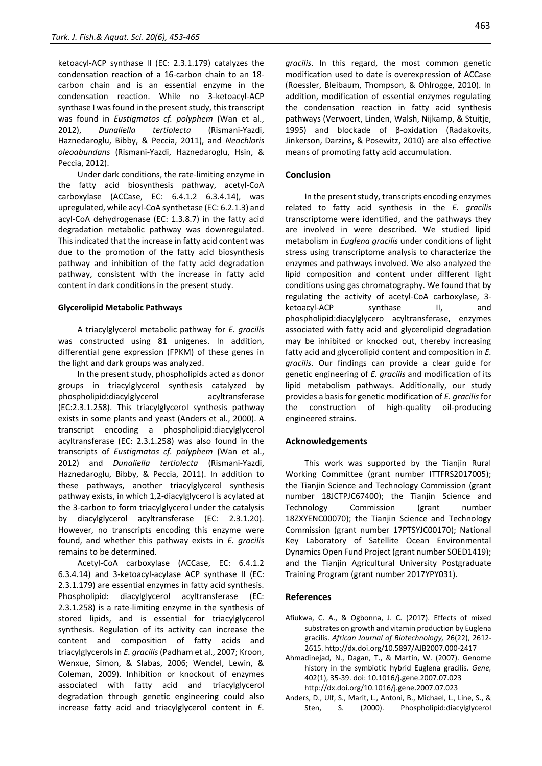ketoacyl-ACP synthase II (EC: 2.3.1.179) catalyzes the condensation reaction of a 16-carbon chain to an 18 carbon chain and is an essential enzyme in the condensation reaction. While no 3-ketoacyl-ACP synthase I was found in the present study, this transcript was found in *Eustigmatos cf. polyphem* (Wan et al., 2012), *Dunaliella tertiolecta* (Rismani-Yazdi, Haznedaroglu, Bibby, & Peccia, 2011), and *Neochloris oleoabundans* (Rismani-Yazdi, Haznedaroglu, Hsin, & Peccia, 2012).

Under dark conditions, the rate-limiting enzyme in the fatty acid biosynthesis pathway, acetyl-CoA carboxylase (ACCase, EC: 6.4.1.2 6.3.4.14), was upregulated, while acyl-CoA synthetase (EC: 6.2.1.3) and acyl-CoA dehydrogenase (EC: 1.3.8.7) in the fatty acid degradation metabolic pathway was downregulated. This indicated that the increase in fatty acid content was due to the promotion of the fatty acid biosynthesis pathway and inhibition of the fatty acid degradation pathway, consistent with the increase in fatty acid content in dark conditions in the present study.

#### **Glycerolipid Metabolic Pathways**

A triacylglycerol metabolic pathway for *E. gracilis* was constructed using 81 unigenes. In addition, differential gene expression (FPKM) of these genes in the light and dark groups was analyzed.

In the present study, phospholipids acted as donor groups in triacylglycerol synthesis catalyzed by phospholipid:diacylglycerol acyltransferase (EC:2.3.1.258). This triacylglycerol synthesis pathway exists in some plants and yeast (Anders et al., 2000). A transcript encoding a phospholipid:diacylglycerol acyltransferase (EC: 2.3.1.258) was also found in the transcripts of *Eustigmatos cf. polyphem* (Wan et al., 2012) and *Dunaliella tertiolecta* (Rismani-Yazdi, Haznedaroglu, Bibby, & Peccia, 2011). In addition to these pathways, another triacylglycerol synthesis pathway exists, in which 1,2-diacylglycerol is acylated at the 3-carbon to form triacylglycerol under the catalysis by diacylglycerol acyltransferase (EC: 2.3.1.20). However, no transcripts encoding this enzyme were found, and whether this pathway exists in *E. gracilis* remains to be determined.

Acetyl-CoA carboxylase (ACCase, EC: 6.4.1.2 6.3.4.14) and 3-ketoacyl-acylase ACP synthase II (EC: 2.3.1.179) are essential enzymes in fatty acid synthesis. Phospholipid: diacylglycerol acyltransferase (EC: 2.3.1.258) is a rate-limiting enzyme in the synthesis of stored lipids, and is essential for triacylglycerol synthesis. Regulation of its activity can increase the content and composition of fatty acids and triacylglycerols in *E. gracilis*(Padham et al., 2007; Kroon, Wenxue, Simon, & Slabas, 2006; Wendel, Lewin, & Coleman, 2009). Inhibition or knockout of enzymes associated with fatty acid and triacylglycerol degradation through genetic engineering could also increase fatty acid and triacylglycerol content in *E.* 

*gracilis*. In this regard, the most common genetic modification used to date is overexpression of ACCase (Roessler, Bleibaum, Thompson, & Ohlrogge, 2010). In addition, modification of essential enzymes regulating the condensation reaction in fatty acid synthesis pathways (Verwoert, Linden, Walsh, Nijkamp, & Stuitje, 1995) and blockade of β-oxidation (Radakovits, Jinkerson, Darzins, & Posewitz, 2010) are also effective means of promoting fatty acid accumulation.

# **Conclusion**

In the present study, transcripts encoding enzymes related to fatty acid synthesis in the *E. gracilis* transcriptome were identified, and the pathways they are involved in were described. We studied lipid metabolism in *Euglena gracilis* under conditions of light stress using transcriptome analysis to characterize the enzymes and pathways involved. We also analyzed the lipid composition and content under different light conditions using gas chromatography. We found that by regulating the activity of acetyl-CoA carboxylase, 3 ketoacyl-ACP synthase II, and phospholipid:diacylglycero acyltransferase, enzymes associated with fatty acid and glycerolipid degradation may be inhibited or knocked out, thereby increasing fatty acid and glycerolipid content and composition in *E. gracilis*. Our findings can provide a clear guide for genetic engineering of *E. gracilis* and modification of its lipid metabolism pathways. Additionally, our study provides a basis for genetic modification of *E. gracilis*for the construction of high-quality oil-producing engineered strains.

#### **Acknowledgements**

This work was supported by the Tianjin Rural Working Committee (grant number ITTFRS2017005); the Tianjin Science and Technology Commission (grant number 18JCTPJC67400); the Tianjin Science and Technology Commission (grant number 18ZXYENC00070); the Tianjin Science and Technology Commission (grant number 17PTSYJC00170); National Key Laboratory of Satellite Ocean Environmental Dynamics Open Fund Project (grant number SOED1419); and the Tianjin Agricultural University Postgraduate Training Program (grant number 2017YPY031).

#### **References**

- Afiukwa, C. A., & Ogbonna, J. C. (2017). Effects of mixed substrates on growth and vitamin production by Euglena gracilis. *African Journal of Biotechnology,* 26(22), 2612- 2615. http://dx.doi.org/10.5897/AJB2007.000-2417
- Ahmadinejad, N., Dagan, T., & Martin, W. (2007). Genome history in the symbiotic hybrid Euglena gracilis. *Gene,*  402(1), 35-39. doi: 10.1016/j.gene.2007.07.023 http://dx.doi.org/10.1016/j.gene.2007.07.023
- Anders, D., Ulf, S., Marit, L., Antoni, B., Michael, L., Line, S., & Sten, S. (2000). Phospholipid:diacylglycerol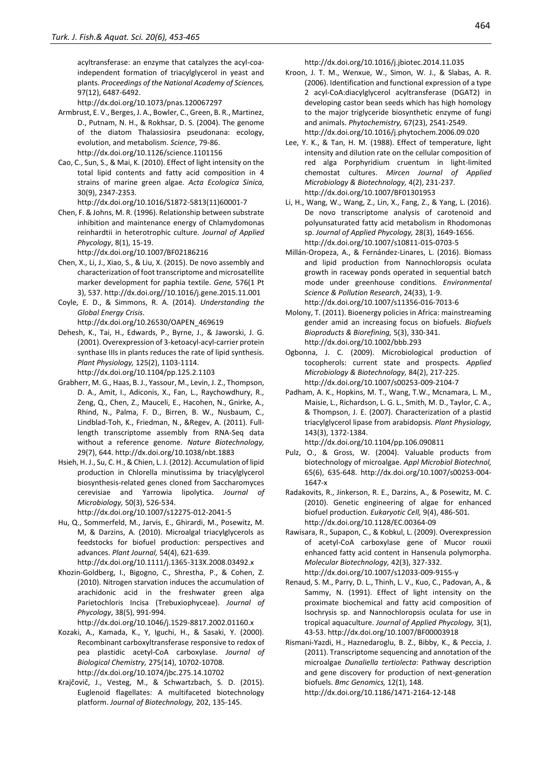acyltransferase: an enzyme that catalyzes the acyl-coaindependent formation of triacylglycerol in yeast and plants. *Proceedings of the National Academy of Sciences,*  97(12), 6487-6492.

http://dx.doi.org/10.1073/pnas.120067297

- Armbrust, E. V., Berges, J. A., Bowler, C., Green, B. R., Martinez, D., Putnam, N. H., & Rokhsar, D. S. (2004). The genome of the diatom Thalassiosira pseudonana: ecology, evolution, and metabolism. *Science*, 79-86. http://dx.doi.org/10.1126/science.1101156
- Cao, C., Sun, S., & Mai, K. (2010). Effect of light intensity on the total lipid contents and fatty acid composition in 4 strains of marine green algae. *Acta Ecologica Sinica,*  30(9), 2347-2353.
- http://dx.doi.org/10.1016/S1872-5813(11)60001-7 Chen, F. & Johns, M. R. (1996). Relationship between substrate
- inhibition and maintenance energy of Chlamydomonas reinhardtii in heterotrophic culture. *Journal of Applied Phycology*, 8(1), 15-19.

http://dx.doi.org/10.1007/BF02186216

- Chen, X., Li, J., Xiao, S., & Liu, X. (2015). De novo assembly and characterization of foot transcriptome and microsatellite marker development for paphia textile. *Gene,* 576(1 Pt 3), 537. http://dx.doi.org//10.1016/j.gene.2015.11.001
- Coyle, E. D., & Simmons, R. A. (2014). *Understanding the Global Energy Crisis*.
- http://dx.doi.org/10.26530/OAPEN\_469619
- Dehesh, K., Tai, H., Edwards, P., Byrne, J., & Jaworski, J. G. (2001). Overexpression of 3-ketoacyl-acyl-carrier protein synthase IIIs in plants reduces the rate of lipid synthesis. *Plant Physiology,* 125(2), 1103-1114.

http://dx.doi.org/10.1104/pp.125.2.1103

- Grabherr, M. G., Haas, B. J., Yassour, M., Levin, J. Z., Thompson, D. A., Amit, I., Adiconis, X., Fan, L., Raychowdhury, R., Zeng, Q., Chen, Z., Mauceli, E., Hacohen, N., Gnirke, A., Rhind, N., Palma, F. D., Birren, B. W., Nusbaum, C., Lindblad-Toh, K., Friedman, N., &Regev, A. (2011). Fulllength transcriptome assembly from RNA-Seq data without a reference genome. *Nature Biotechnology,*  29(7), 644. http://dx.doi.org/10.1038/nbt.1883
- Hsieh, H. J., Su, C. H., & Chien, L. J. (2012). Accumulation of lipid production in Chlorella minutissima by triacylglycerol biosynthesis-related genes cloned from Saccharomyces cerevisiae and Yarrowia lipolytica. *Journal of Microbiology,* 50(3), 526-534.

http://dx.doi.org/10.1007/s12275-012-2041-5

- Hu, Q., Sommerfeld, M., Jarvis, E., Ghirardi, M., Posewitz, M. M, & Darzins, A. (2010). Microalgal triacylglycerols as feedstocks for biofuel production: perspectives and advances. *Plant Journal,* 54(4), 621-639.
- <http://dx.doi.org/10.1111/j.1365-313X.2008.03492.x> Khozin-Goldberg, I., Bigogno, C., Shrestha, P., & Cohen, Z.
- (2010). Nitrogen starvation induces the accumulation of arachidonic acid in the freshwater green alga Parietochloris Incisa (Trebuxiophyceae). *Journal of Phycology*, 38(5), 991-994.

http://dx.doi.org/10.1046/j.1529-8817.2002.01160.x

- Kozaki, A., Kamada, K., Y, Iguchi, H., & Sasaki, Y. (2000). Recombinant carboxyltransferase responsive to redox of pea plastidic acetyl-CoA carboxylase. *Journal of Biological Chemistry,* 275(14), 10702-10708. http://dx.doi.org/10.1074/jbc.275.14.10702
- Krajčovič, J., Vesteg, M., & Schwartzbach, S. D. (2015). Euglenoid flagellates: A multifaceted biotechnology platform. *Journal of Biotechnology,* 202, 135-145.

http://dx.doi.org/10.1016/j.jbiotec.2014.11.035

- Kroon, J. T. M., Wenxue, W., Simon, W. J., & Slabas, A. R. (2006). Identification and functional expression of a type 2 acyl-CoA:diacylglycerol acyltransferase (DGAT2) in developing castor bean seeds which has high homology to the major triglyceride biosynthetic enzyme of fungi and animals. *Phytochemistry,* 67(23), 2541-2549. http://dx.doi.org/10.1016/j.phytochem.2006.09.020
- Lee, Y. K., & Tan, H. M. (1988). Effect of temperature, light intensity and dilution rate on the cellular composition of red alga Porphyridium cruentum in light-limited chemostat cultures. *Mircen Journal of Applied Microbiology & Biotechnology,* 4(2), 231-237. http://dx.doi.org/10.1007/BF01301953
- Li, H., Wang, W., Wang, Z., Lin, X., Fang, Z., & Yang, L. (2016). De novo transcriptome analysis of carotenoid and polyunsaturated fatty acid metabolism in Rhodomonas sp. *Journal of Applied Phycology,* 28(3), 1649-1656. http://dx.doi.org/10.1007/s10811-015-0703-5
- Millán-Oropeza, A., & Fernández-Linares, L. (2016). Biomass and lipid production from Nannochloropsis oculata growth in raceway ponds operated in sequential batch mode under greenhouse conditions. *Environmental Science & Pollution Research*, 24(33), 1-9. http://dx.doi.org/10.1007/s11356-016-7013-6
- Molony, T. (2011). Bioenergy policies in Africa: mainstreaming gender amid an increasing focus on biofuels. *Biofuels Bioproducts & Biorefining,* 5(3), 330-341. http://dx.doi.org/10.1002/bbb.293
- Ogbonna, J. C. (2009). Microbiological production of tocopherols: current state and prospects. *Applied Microbiology & Biotechnology,* 84(2), 217-225. http://dx.doi.org/10.1007/s00253-009-2104-7
- Padham, A. K., Hopkins, M. T., Wang, T.W., Mcnamara, L. M., Maisie, L., Richardson, L. G. L., Smith, M. D., Taylor, C. A., & Thompson, J. E. (2007). Characterization of a plastid triacylglycerol lipase from arabidopsis. *Plant Physiology,*  143(3), 1372-1384.
	- http://dx.doi.org/10.1104/pp.106.090811
- Pulz, O., & Gross, W. (2004). Valuable products from biotechnology of microalgae. *Appl Microbiol Biotechnol,*  65(6), 635-648. http://dx.doi.org/10.1007/s00253-004- 1647-x
- Radakovits, R., Jinkerson, R. E., Darzins, A., & Posewitz, M. C. (2010). Genetic engineering of algae for enhanced biofuel production. *Eukaryotic Cell,* 9(4), 486-501. http://dx.doi.org/10.1128/EC.00364-09
- Rawisara, R., Supapon, C., & Kobkul, L. (2009). Overexpression of acetyl-CoA carboxylase gene of Mucor rouxii enhanced fatty acid content in Hansenula polymorpha. *Molecular Biotechnology,* 42(3), 327-332. http://dx.doi.org/10.1007/s12033-009-9155-y
- Renaud, S. M., Parry, D. L., Thinh, L. V., Kuo, C., Padovan, A., & Sammy, N. (1991). Effect of light intensity on the proximate biochemical and fatty acid composition of Isochrysis sp. and Nannochloropsis oculata for use in tropical aquaculture. *Journal of Applied Phycology,* 3(1), 43-53. http://dx.doi.org/10.1007/BF00003918
- Rismani-Yazdi, H., Haznedaroglu, B. Z., Bibby, K., & Peccia, J. (2011). Transcriptome sequencing and annotation of the microalgae *Dunaliella tertiolecta*: Pathway description and gene discovery for production of next-generation biofuels. *Bmc Genomics,* 12(1), 148.

http://dx.doi.org/10.1186/1471-2164-12-148